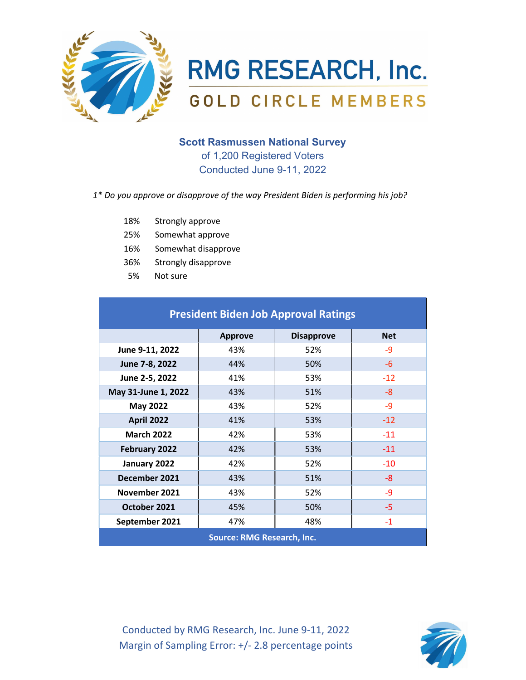

**RMG RESEARCH, Inc. GOLD CIRCLE MEMBERS** 

# Scott Rasmussen National Survey

of 1,200 Registered Voters Conducted June 9-11, 2022

## 1\* Do you approve or disapprove of the way President Biden is performing his job?

- 18% Strongly approve
- 25% Somewhat approve
- 16% Somewhat disapprove
- 36% Strongly disapprove
- 5% Not sure

| <b>President Biden Job Approval Ratings</b> |                |                   |            |  |
|---------------------------------------------|----------------|-------------------|------------|--|
|                                             | <b>Approve</b> | <b>Disapprove</b> | <b>Net</b> |  |
| June 9-11, 2022                             | 43%            | 52%               | $-9$       |  |
| June 7-8, 2022                              | 44%            | 50%               | $-6$       |  |
| June 2-5, 2022                              | 41%            | 53%               | $-12$      |  |
| May 31-June 1, 2022                         | 43%            | 51%               | -8         |  |
| <b>May 2022</b>                             | 43%            | 52%               | $-9$       |  |
| <b>April 2022</b>                           | 41%            | 53%               | $-12$      |  |
| <b>March 2022</b>                           | 42%            | 53%               | $-11$      |  |
| February 2022                               | 42%            | 53%               | $-11$      |  |
| January 2022                                | 42%            | 52%               | $-10$      |  |
| December 2021                               | 43%            | 51%               | -8         |  |
| November 2021                               | 43%            | 52%               | $-9$       |  |
| October 2021                                | 45%            | 50%               | $-5$       |  |
| September 2021                              | 47%            | 48%               | $-1$       |  |
| <b>Source: RMG Research, Inc.</b>           |                |                   |            |  |

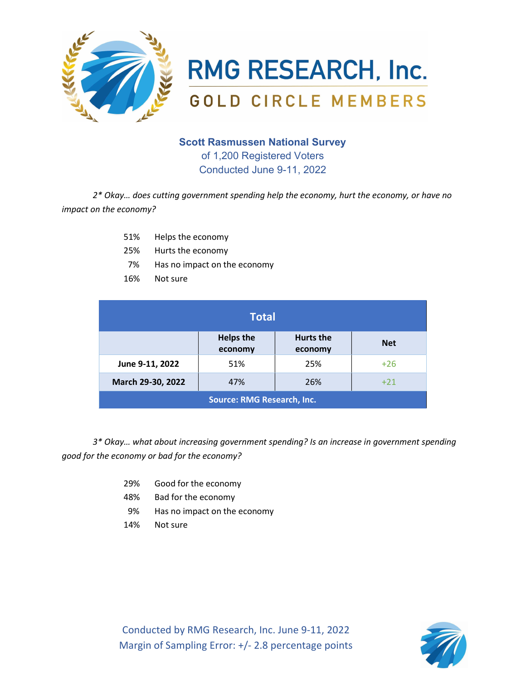

**RMG RESEARCH, Inc. GOLD CIRCLE MEMBERS** 

## Scott Rasmussen National Survey

of 1,200 Registered Voters Conducted June 9-11, 2022

2\* Okay… does cutting government spending help the economy, hurt the economy, or have no impact on the economy?

- 51% Helps the economy
- 25% Hurts the economy
- 7% Has no impact on the economy
- 16% Not sure

| <b>Total</b>                      |                             |                      |            |  |
|-----------------------------------|-----------------------------|----------------------|------------|--|
|                                   | <b>Helps the</b><br>economy | Hurts the<br>economy | <b>Net</b> |  |
| June 9-11, 2022                   | 51%                         | 25%                  | $+26$      |  |
| March 29-30, 2022                 | 47%                         | 26%                  | $+21$      |  |
| <b>Source: RMG Research, Inc.</b> |                             |                      |            |  |

3\* Okay… what about increasing government spending? Is an increase in government spending good for the economy or bad for the economy?

- 29% Good for the economy
- 48% Bad for the economy
- 9% Has no impact on the economy
- 14% Not sure